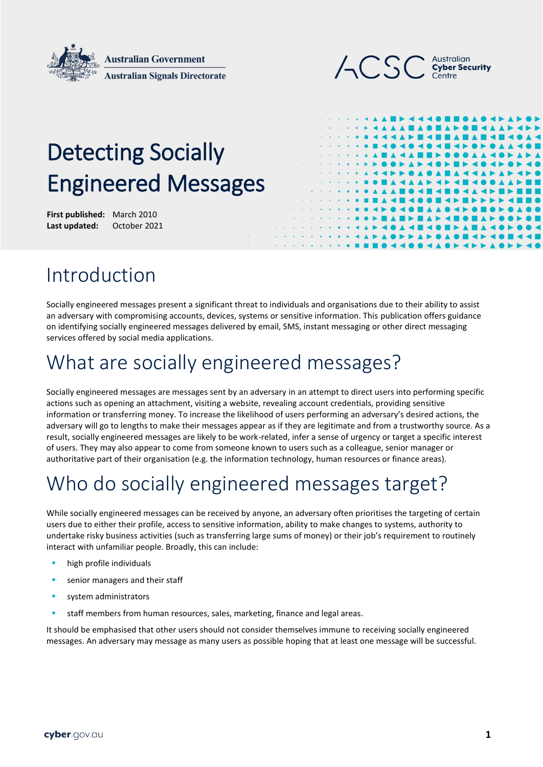



# Detecting Socially Engineered Messages

**First published:** March 2010 **Last updated:** October 2021

### Introduction

Socially engineered messages present a significant threat to individuals and organisations due to their ability to assist an adversary with compromising accounts, devices, systems or sensitive information. This publication offers guidance on identifying socially engineered messages delivered by email, SMS, instant messaging or other direct messaging services offered by social media applications.

### What are socially engineered messages?

Socially engineered messages are messages sent by an adversary in an attempt to direct users into performing specific actions such as opening an attachment, visiting a website, revealing account credentials, providing sensitive information or transferring money. To increase the likelihood of users performing an adversary's desired actions, the adversary will go to lengths to make their messages appear as if they are legitimate and from a trustworthy source. As a result, socially engineered messages are likely to be work-related, infer a sense of urgency or target a specific interest of users. They may also appear to come from someone known to users such as a colleague, senior manager or authoritative part of their organisation (e.g. the information technology, human resources or finance areas).

## Who do socially engineered messages target?

While socially engineered messages can be received by anyone, an adversary often prioritises the targeting of certain users due to either their profile, access to sensitive information, ability to make changes to systems, authority to undertake risky business activities (such as transferring large sums of money) or their job's requirement to routinely interact with unfamiliar people. Broadly, this can include:

- high profile individuals
- **senior managers and their staff**
- system administrators
- staff members from human resources, sales, marketing, finance and legal areas.

It should be emphasised that other users should not consider themselves immune to receiving socially engineered messages. An adversary may message as many users as possible hoping that at least one message will be successful.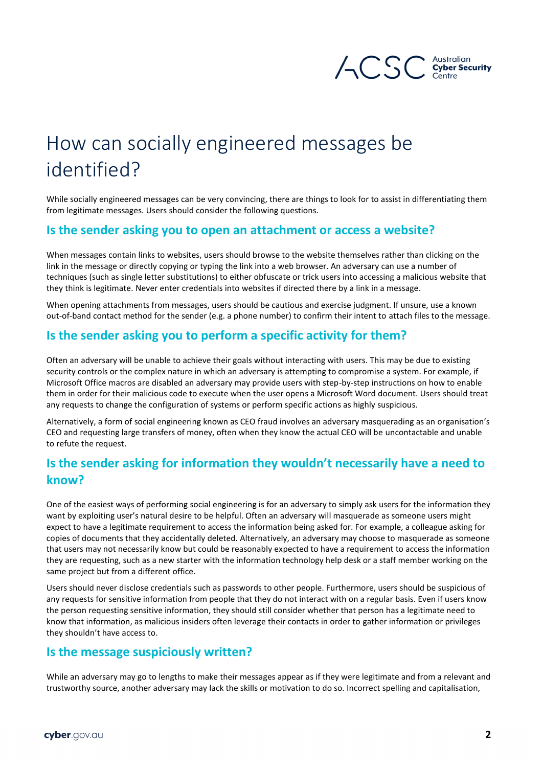

# How can socially engineered messages be identified?

While socially engineered messages can be very convincing, there are things to look for to assist in differentiating them from legitimate messages. Users should consider the following questions.

#### **Is the sender asking you to open an attachment or access a website?**

When messages contain links to websites, users should browse to the website themselves rather than clicking on the link in the message or directly copying or typing the link into a web browser. An adversary can use a number of techniques (such as single letter substitutions) to either obfuscate or trick users into accessing a malicious website that they think is legitimate. Never enter credentials into websites if directed there by a link in a message.

When opening attachments from messages, users should be cautious and exercise judgment. If unsure, use a known out-of-band contact method for the sender (e.g. a phone number) to confirm their intent to attach files to the message.

#### **Is the sender asking you to perform a specific activity for them?**

Often an adversary will be unable to achieve their goals without interacting with users. This may be due to existing security controls or the complex nature in which an adversary is attempting to compromise a system. For example, if Microsoft Office macros are disabled an adversary may provide users with step-by-step instructions on how to enable them in order for their malicious code to execute when the user opens a Microsoft Word document. Users should treat any requests to change the configuration of systems or perform specific actions as highly suspicious.

Alternatively, a form of social engineering known as CEO fraud involves an adversary masquerading as an organisation's CEO and requesting large transfers of money, often when they know the actual CEO will be uncontactable and unable to refute the request.

#### **Is the sender asking for information they wouldn't necessarily have a need to know?**

One of the easiest ways of performing social engineering is for an adversary to simply ask users for the information they want by exploiting user's natural desire to be helpful. Often an adversary will masquerade as someone users might expect to have a legitimate requirement to access the information being asked for. For example, a colleague asking for copies of documents that they accidentally deleted. Alternatively, an adversary may choose to masquerade as someone that users may not necessarily know but could be reasonably expected to have a requirement to access the information they are requesting, such as a new starter with the information technology help desk or a staff member working on the same project but from a different office.

Users should never disclose credentials such as passwords to other people. Furthermore, users should be suspicious of any requests for sensitive information from people that they do not interact with on a regular basis. Even if users know the person requesting sensitive information, they should still consider whether that person has a legitimate need to know that information, as malicious insiders often leverage their contacts in order to gather information or privileges they shouldn't have access to.

#### **Is the message suspiciously written?**

While an adversary may go to lengths to make their messages appear as if they were legitimate and from a relevant and trustworthy source, another adversary may lack the skills or motivation to do so. Incorrect spelling and capitalisation,